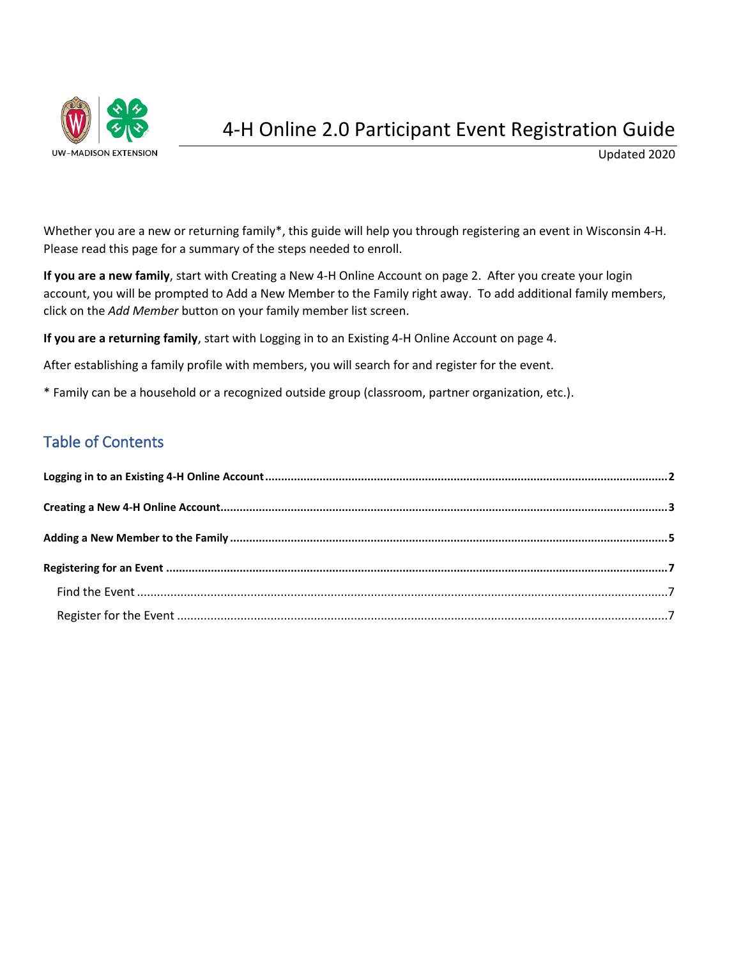

Updated 2020

Whether you are a new or returning family\*, this guide will help you through registering an event in Wisconsin 4-H. Please read this page for a summary of the steps needed to enroll.

**If you are a new family**, start with Creating a New 4-H Online Account on page 2. After you create your login account, you will be prompted to Add a New Member to the Family right away. To add additional family members, click on the *Add Member* button on your family member list screen.

**If you are a returning family**, start with Logging in to an Existing 4-H Online Account on page 4.

After establishing a family profile with members, you will search for and register for the event.

\* Family can be a household or a recognized outside group (classroom, partner organization, etc.).

## Table of Contents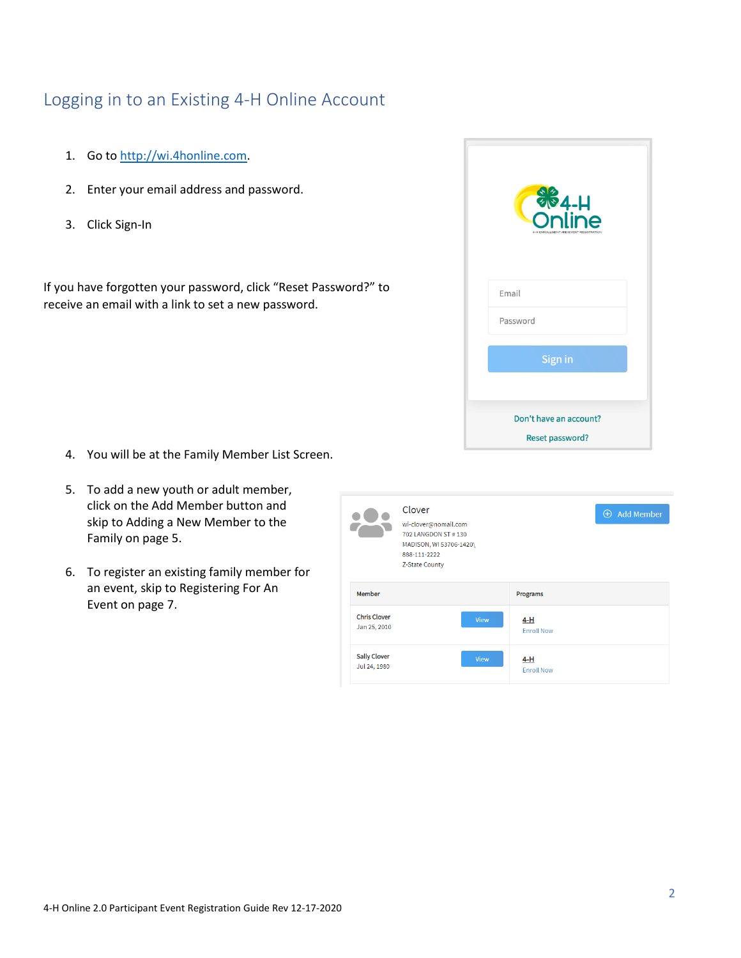# <span id="page-1-0"></span>Logging in to an Existing 4-H Online Account

- 1. Go to [http://wi.4honline.com.](http://v2.4honline.com/)
- 2. Enter your email address and password.
- 3. Click Sign-In

If you have forgotten your password, click "Reset Password?" to receive an email with a link to set a new password.

| <b>S</b><br>Online<br>4-H ENROLLMENT AND EVENT REGISTRATION |
|-------------------------------------------------------------|
| Email                                                       |
| Password                                                    |
| Sign in                                                     |
| Don't have an account?<br>Reset password?                   |

- 4. You will be at the Family Member List Screen.
- 5. To add a new youth or adult member, click on the Add Member button and skip to Adding a New Member to the Family on page 5.
- 6. To register an existing family member for an event, skip to Registering For An Event on page 7.

|                                     | Clover<br>wi-clover@nomail.com<br>702 LANGDON ST #130<br>MADISON, WI 53706-1420\<br>888-111-2222<br><b>Z-State County</b> |      |                            | $\oplus$ Add Member |
|-------------------------------------|---------------------------------------------------------------------------------------------------------------------------|------|----------------------------|---------------------|
| Member                              |                                                                                                                           |      | Programs                   |                     |
| <b>Chris Clover</b><br>Jan 25, 2010 |                                                                                                                           | View | $4-H$<br><b>Enroll Now</b> |                     |
| <b>Sally Clover</b><br>Jul 24, 1980 |                                                                                                                           | View | $4-H$<br><b>Enroll Now</b> |                     |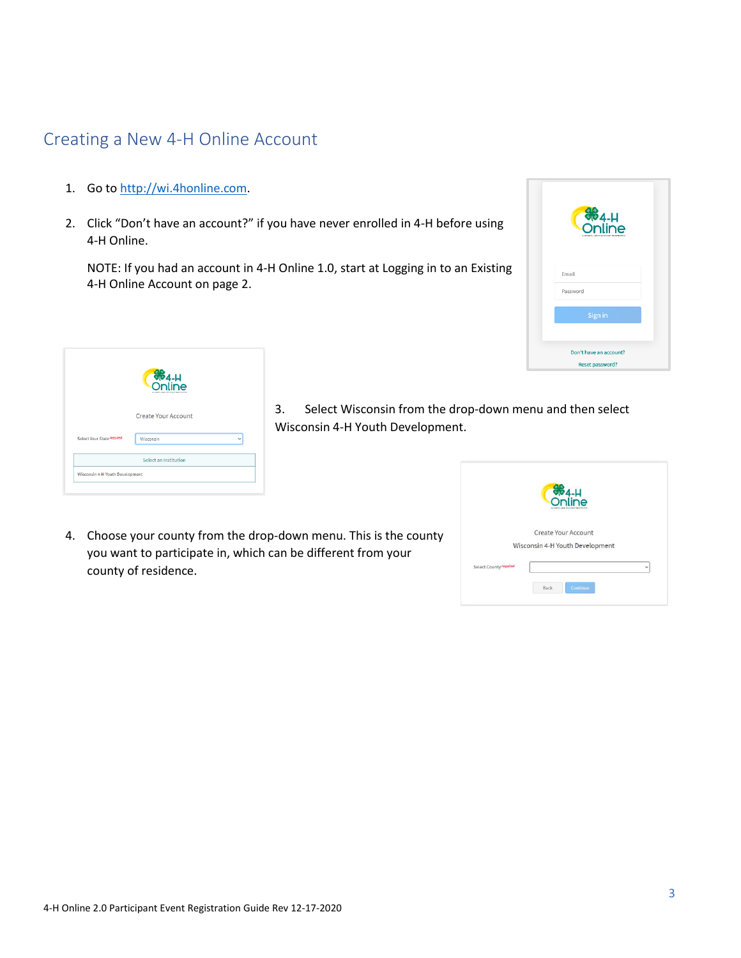### <span id="page-2-0"></span>Creating a New 4-H Online Account

- 1. Go to [http://wi.4honline.com.](http://wi.4honline.com/)
- 2. Click "Don't have an account?" if you have never enrolled in 4-H before using 4-H Online.

NOTE: If you had an account in 4-H Online 1.0, start at Logging in to an Existing 4-H Online Account on page 2.

| <b>S</b> <sub>4-H</sub><br>Online<br>A MERANTLLE |
|--------------------------------------------------|
| Email                                            |
| Password                                         |
| Sign in                                          |
|                                                  |
| Don't have an account?                           |
| Reset password?                                  |

|                                 | <b>CON</b><br>Online         |   |
|---------------------------------|------------------------------|---|
|                                 | <b>Create Your Account</b>   |   |
| Select Your State required      | Wisconsin                    | v |
|                                 | <b>Select an Institution</b> |   |
| Wisconsin 4-H Youth Development |                              |   |

- 3. Select Wisconsin from the drop-down menu and then select Wisconsin 4-H Youth Development.
- 4. Choose your county from the drop-down menu. This is the county you want to participate in, which can be different from your county of residence.

|                        | $\frac{11}{264}$                                       |              |
|------------------------|--------------------------------------------------------|--------------|
|                        | Create Your Account<br>Wisconsin 4-H Youth Development |              |
| Select County required |                                                        | $\checkmark$ |
|                        | Continue<br>Back                                       |              |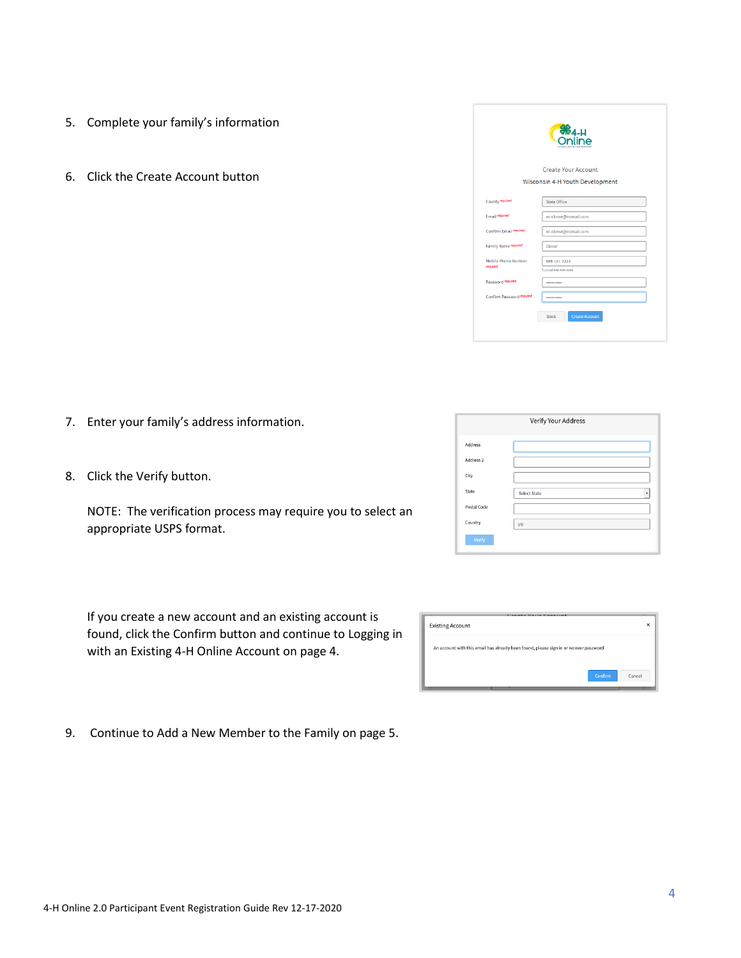4-H Online 2.0 Participant Event Registration Guide Rev 12-17-2020

- 5. Complete your family's information
- 6. Click the Create Account button

- 7. Enter your family's address information.
- 8. Click the Verify button.

NOTE: The verification process may require you to select an appropriate USPS format.

If you create a new account and an existing account is found, click the Confirm button and continue to Logging in with an Existing 4-H Online Account on page 4.

9. Continue to Add a New Member to the Family on page 5.

| <b>964-H</b>                           |                                 |  |  |  |  |
|----------------------------------------|---------------------------------|--|--|--|--|
|                                        | Create Your Account             |  |  |  |  |
|                                        | Wisconsin 4-H Youth Development |  |  |  |  |
| County required                        | State Office                    |  |  |  |  |
| Email required                         | wi-clover@nomail.com            |  |  |  |  |
| Confirm Email regulred                 | wi-clover@nomail.com            |  |  |  |  |
| Family Name required                   | Clover                          |  |  |  |  |
| <b>Mobile Phone Number</b><br>required | 888-111-2222                    |  |  |  |  |
| Password required                      | Format ###-###-####<br>         |  |  |  |  |
| Confirm Password required              |                                 |  |  |  |  |
|                                        | <b>Create Account</b><br>Back   |  |  |  |  |

| Verify Your Address  |              |  |  |  |
|----------------------|--------------|--|--|--|
| Address              |              |  |  |  |
| Address <sub>2</sub> |              |  |  |  |
| City                 |              |  |  |  |
| State                | Select State |  |  |  |
| Postal Code          |              |  |  |  |
| Country              | US           |  |  |  |
| Verify               |              |  |  |  |

| <b>Existing Account</b>                                                               | Cunnta Varia Annoiset |         | ×      |
|---------------------------------------------------------------------------------------|-----------------------|---------|--------|
| An account with this email has already been found, please sign in or recover password |                       |         |        |
|                                                                                       |                       | Confirm | Cancel |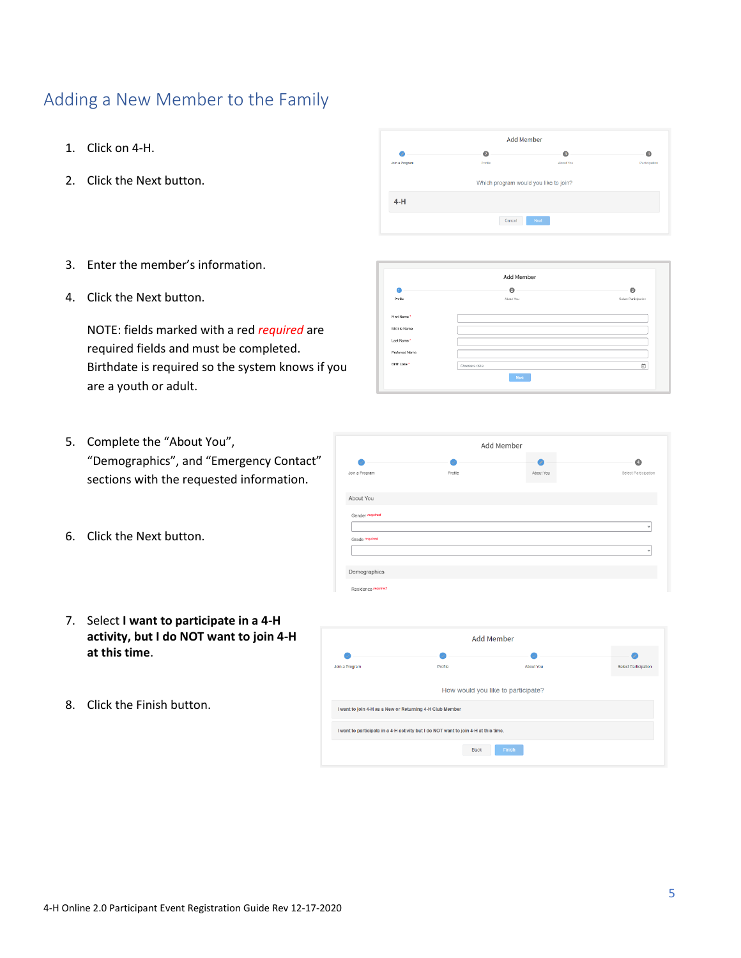# <span id="page-4-0"></span>Adding a New Member to the Family

- 1. Click on 4-H.
- 2. Click the Next button.
- 3. Enter the member's information.
- 4. Click the Next button.

NOTE: fields marked with a red *required* are required fields and must be completed. Birthdate is required so the system knows if you are a youth or adult.

- 5. Complete the "About You", "Demographics", and "Emergency Contact" sections with the requested information.
- 6. Click the Next button.
- 7. Select **I want to participate in a 4-H activity, but I do NOT want to join 4-H at this time**.
- 8. Click the Finish button.





Add Member

 $\mathcal{L}$ Join a Progra

About You Gender

Grade required

Demographics Residence require



 $\bullet$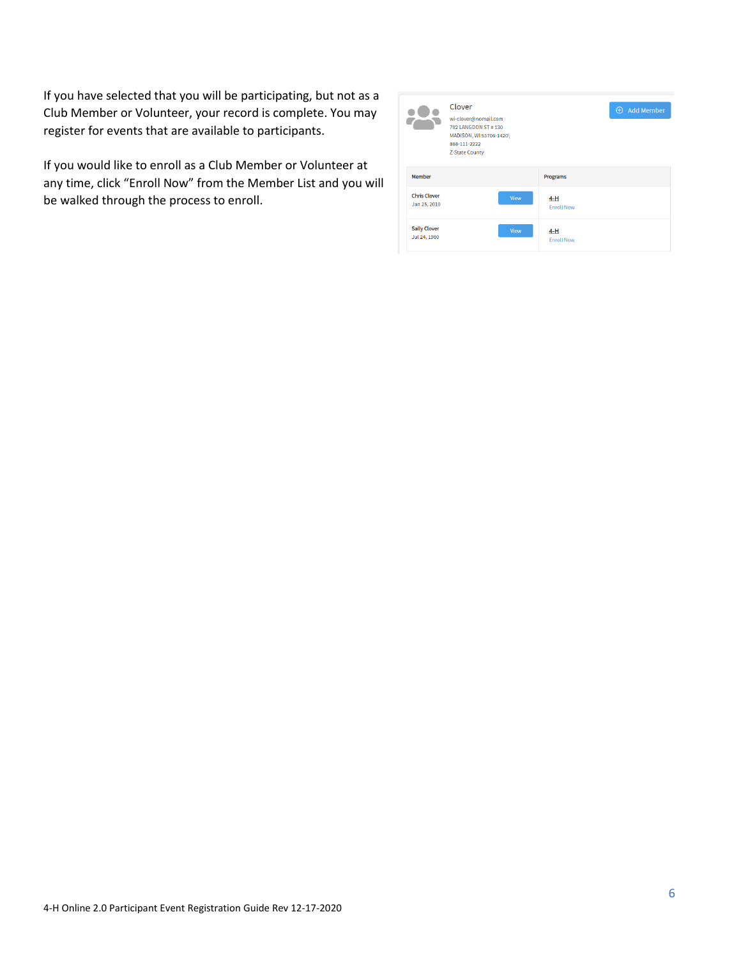If you have selected that you will be participating, but not as a Club Member or Volunteer, your record is complete. You may register for events that are available to participants.

If you would like to enroll as a Club Member or Volunteer at any time, click "Enroll Now" from the Member List and you will be walked through the process to enroll.

|                                     | Clover<br>wi-clover@nomail.com<br>702   ANGDON ST # 130<br>MADISON, WI 53706-1420\<br>888-111-2222<br>Z-State County |      |                          | $\bigoplus$<br><b>Add Member</b> |
|-------------------------------------|----------------------------------------------------------------------------------------------------------------------|------|--------------------------|----------------------------------|
| Member                              |                                                                                                                      |      | <b>Programs</b>          |                                  |
| <b>Chris Clover</b><br>Jan 25, 2010 |                                                                                                                      | View | 4-H<br><b>Enroll Now</b> |                                  |
| <b>Sally Clover</b><br>Jul 24, 1980 |                                                                                                                      | View | 4-H<br><b>Enroll Now</b> |                                  |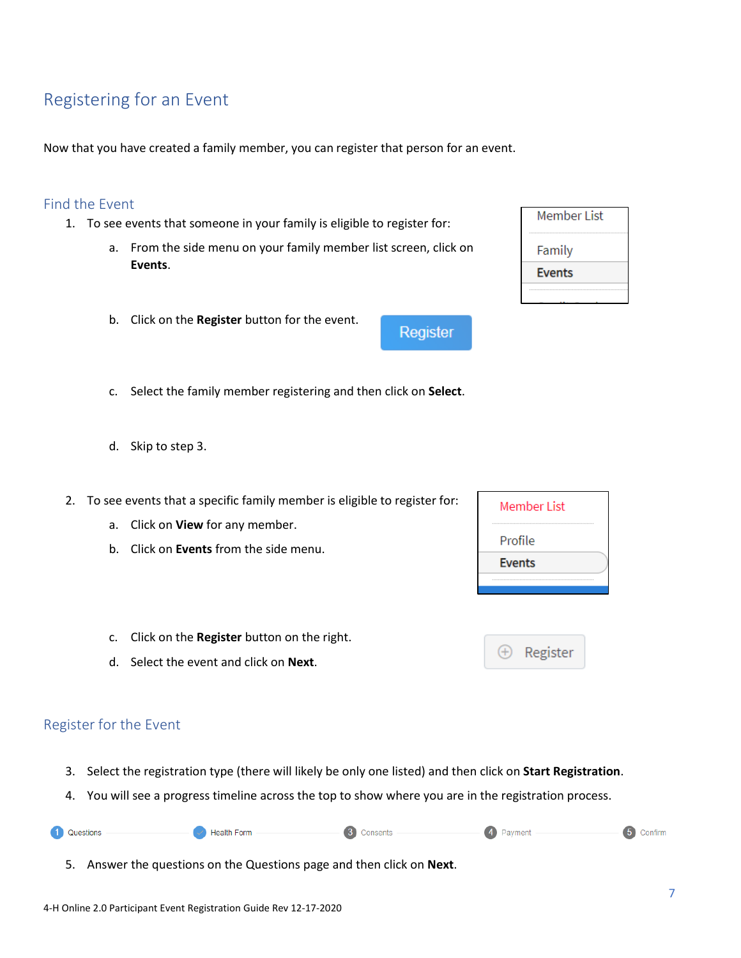# <span id="page-6-0"></span>Registering for an Event

Now that you have created a family member, you can register that person for an event.

#### <span id="page-6-1"></span>Find the Event

- 1. To see events that someone in your family is eligible to register for:
	- a. From the side menu on your family member list screen, click on **Events**.

Register

- b. Click on the **Register** button for the event.
- c. Select the family member registering and then click on **Select**.
- d. Skip to step 3.
- 2. To see events that a specific family member is eligible to register for:
	- a. Click on **View** for any member.
	- b. Click on **Events** from the side menu.
	- c. Click on the **Register** button on the right.
	- d. Select the event and click on **Next**.

### <span id="page-6-2"></span>Register for the Event

A

- 3. Select the registration type (there will likely be only one listed) and then click on **Start Registration**.
- 4. You will see a progress timeline across the top to show where you are in the registration process.

| Questions | <b>Health Form</b> | one<br>-ante<br>пэсню<br>ا∪ب<br>. . | <b>A</b><br><b>CAVILICIAL</b> |  |
|-----------|--------------------|-------------------------------------|-------------------------------|--|
|-----------|--------------------|-------------------------------------|-------------------------------|--|

5. Answer the questions on the Questions page and then click on **Next**.